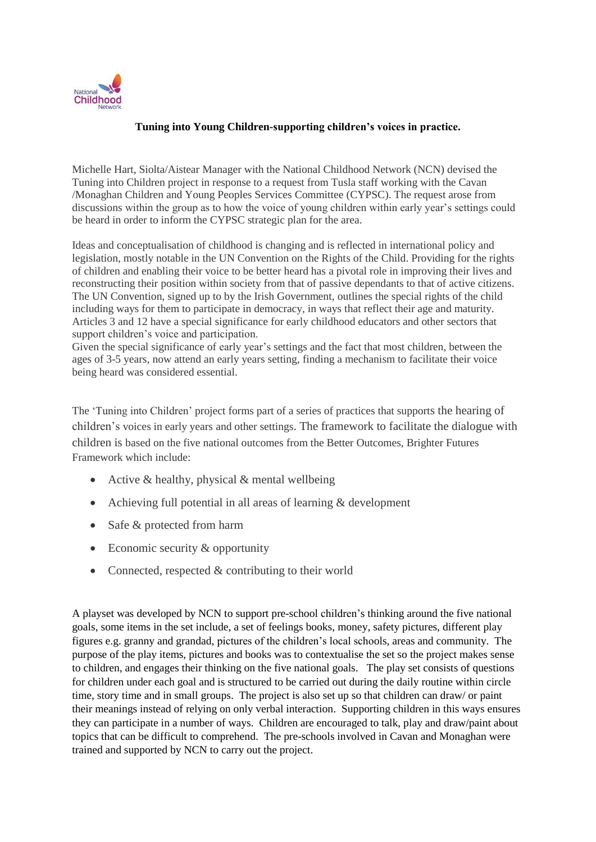

## **Tuning into Young Children-supporting children's voices in practice.**

Michelle Hart, Siolta/Aistear Manager with the National Childhood Network (NCN) devised the Tuning into Children project in response to a request from Tusla staff working with the Cavan /Monaghan Children and Young Peoples Services Committee (CYPSC). The request arose from discussions within the group as to how the voice of young children within early year's settings could be heard in order to inform the CYPSC strategic plan for the area.

Ideas and conceptualisation of childhood is changing and is reflected in international policy and legislation, mostly notable in the UN Convention on the Rights of the Child. Providing for the rights of children and enabling their voice to be better heard has a pivotal role in improving their lives and reconstructing their position within society from that of passive dependants to that of active citizens. The UN Convention, signed up to by the Irish Government, outlines the special rights of the child including ways for them to participate in democracy, in ways that reflect their age and maturity. Articles 3 and 12 have a special significance for early childhood educators and other sectors that support children's voice and participation.

Given the special significance of early year's settings and the fact that most children, between the ages of 3-5 years, now attend an early years setting, finding a mechanism to facilitate their voice being heard was considered essential.

The 'Tuning into Children' project forms part of a series of practices that supports the hearing of children's voices in early years and other settings. The framework to facilitate the dialogue with children is based on the five national outcomes from the Better Outcomes, Brighter Futures Framework which include:

- Active & healthy, physical & mental wellbeing
- Achieving full potential in all areas of learning & development
- Safe & protected from harm
- Economic security & opportunity
- Connected, respected  $&$  contributing to their world

A playset was developed by NCN to support pre-school children's thinking around the five national goals, some items in the set include, a set of feelings books, money, safety pictures, different play figures e.g. granny and grandad, pictures of the children's local schools, areas and community. The purpose of the play items, pictures and books was to contextualise the set so the project makes sense to children, and engages their thinking on the five national goals. The play set consists of questions for children under each goal and is structured to be carried out during the daily routine within circle time, story time and in small groups. The project is also set up so that children can draw/ or paint their meanings instead of relying on only verbal interaction. Supporting children in this ways ensures they can participate in a number of ways. Children are encouraged to talk, play and draw/paint about topics that can be difficult to comprehend. The pre-schools involved in Cavan and Monaghan were trained and supported by NCN to carry out the project.